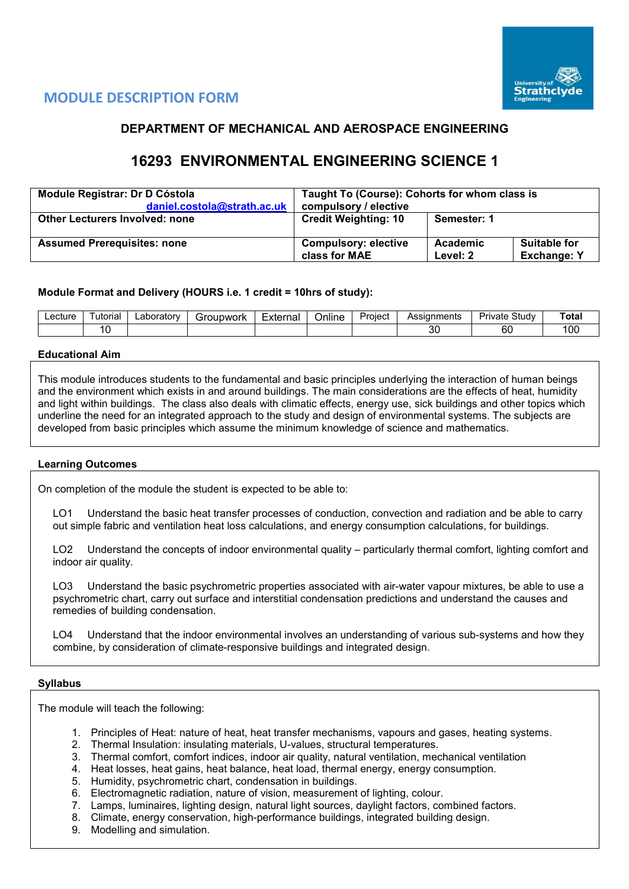

# **MODULE DESCRIPTION FORM**

# **DEPARTMENT OF MECHANICAL AND AEROSPACE ENGINEERING**

# **16293 ENVIRONMENTAL ENGINEERING SCIENCE 1**

| Module Registrar: Dr D Cóstola        | Taught To (Course): Cohorts for whom class is |                      |                                           |  |  |  |
|---------------------------------------|-----------------------------------------------|----------------------|-------------------------------------------|--|--|--|
| daniel.costola@strath.ac.uk           | compulsory / elective                         |                      |                                           |  |  |  |
| <b>Other Lecturers Involved: none</b> | <b>Credit Weighting: 10</b>                   | Semester: 1          |                                           |  |  |  |
| <b>Assumed Prerequisites: none</b>    | <b>Compulsory: elective</b><br>class for MAE  | Academic<br>Level: 2 | <b>Suitable for</b><br><b>Exchange: Y</b> |  |  |  |

# **Module Format and Delivery (HOURS i.e. 1 credit = 10hrs of study):**

| Lecture | utorial | ∟aboratorv | iroupwork<br>ור ' | ⊨xterna | $\cdots$<br>-<br>Online | Project | Assignments  | $\sim$<br>- '<br>تترب<br>study<br>rıvate | Total |
|---------|---------|------------|-------------------|---------|-------------------------|---------|--------------|------------------------------------------|-------|
|         |         |            |                   |         |                         |         | $\sim$<br>ັັ | r r<br>ы                                 | 100   |

# **Educational Aim**

This module introduces students to the fundamental and basic principles underlying the interaction of human beings and the environment which exists in and around buildings. The main considerations are the effects of heat, humidity and light within buildings. The class also deals with climatic effects, energy use, sick buildings and other topics which underline the need for an integrated approach to the study and design of environmental systems. The subjects are developed from basic principles which assume the minimum knowledge of science and mathematics.

# **Learning Outcomes**

On completion of the module the student is expected to be able to:

LO1 Understand the basic heat transfer processes of conduction, convection and radiation and be able to carry out simple fabric and ventilation heat loss calculations, and energy consumption calculations, for buildings.

LO2 Understand the concepts of indoor environmental quality – particularly thermal comfort, lighting comfort and indoor air quality.

LO3 Understand the basic psychrometric properties associated with air-water vapour mixtures, be able to use a psychrometric chart, carry out surface and interstitial condensation predictions and understand the causes and remedies of building condensation.

LO4 Understand that the indoor environmental involves an understanding of various sub-systems and how they combine, by consideration of climate-responsive buildings and integrated design.

# **Syllabus**

The module will teach the following:

- 1. Principles of Heat: nature of heat, heat transfer mechanisms, vapours and gases, heating systems.
- 2. Thermal Insulation: insulating materials, U-values, structural temperatures.
- 3. Thermal comfort, comfort indices, indoor air quality, natural ventilation, mechanical ventilation
- 4. Heat losses, heat gains, heat balance, heat load, thermal energy, energy consumption.
- 5. Humidity, psychrometric chart, condensation in buildings.
- 6. Electromagnetic radiation, nature of vision, measurement of lighting, colour.
- 7. Lamps, luminaires, lighting design, natural light sources, daylight factors, combined factors.
- 8. Climate, energy conservation, high-performance buildings, integrated building design.
- 9. Modelling and simulation.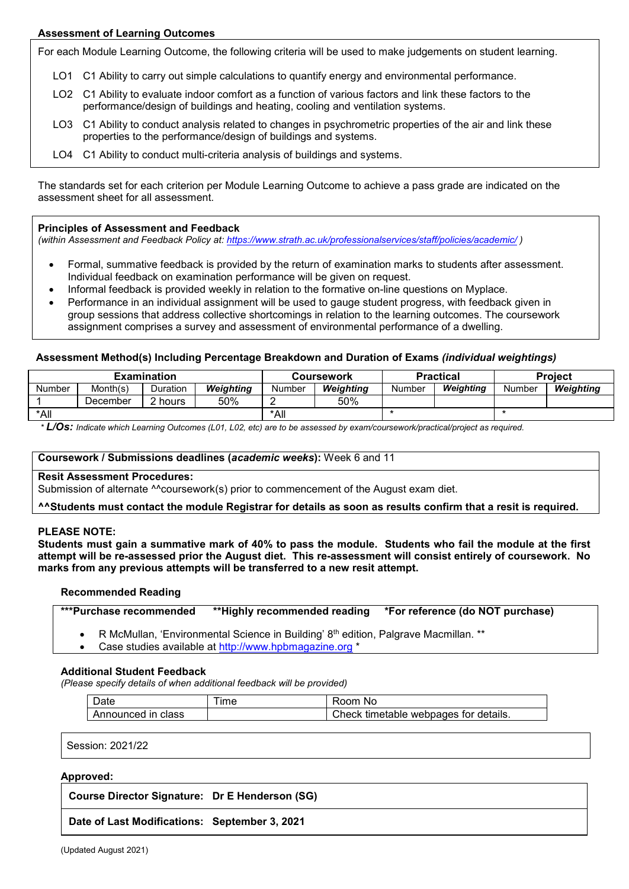# **Assessment of Learning Outcomes**

For each Module Learning Outcome, the following criteria will be used to make judgements on student learning.

- LO1 C1 Ability to carry out simple calculations to quantify energy and environmental performance.
- LO2 C1 Ability to evaluate indoor comfort as a function of various factors and link these factors to the performance/design of buildings and heating, cooling and ventilation systems.
- LO3 C1 Ability to conduct analysis related to changes in psychrometric properties of the air and link these properties to the performance/design of buildings and systems.
- LO4 C1 Ability to conduct multi-criteria analysis of buildings and systems.

The standards set for each criterion per Module Learning Outcome to achieve a pass grade are indicated on the assessment sheet for all assessment.

## **Principles of Assessment and Feedback**

*(within Assessment and Feedback Policy at: <https://www.strath.ac.uk/professionalservices/staff/policies/academic/> )*

- Formal, summative feedback is provided by the return of examination marks to students after assessment. Individual feedback on examination performance will be given on request.
- Informal feedback is provided weekly in relation to the formative on-line questions on Myplace.
- Performance in an individual assignment will be used to gauge student progress, with feedback given in group sessions that address collective shortcomings in relation to the learning outcomes. The coursework assignment comprises a survey and assessment of environmental performance of a dwelling.

# **Assessment Method(s) Including Percentage Breakdown and Duration of Exams** *(individual weightings)*

| <b>Examination</b> |          |                    |           |        | Coursework |        | <b>Practical</b> | <b>Project</b> |           |  |
|--------------------|----------|--------------------|-----------|--------|------------|--------|------------------|----------------|-----------|--|
| Number             | Month(s) | Duration           | Weiahtina | Number | Weighting  | Number | Weighting        | Number         | Weiahtina |  |
|                    | December | <sup>ን</sup> hours | 50%       |        | 50%        |        |                  |                |           |  |
| *All               |          |                    |           | *All   |            |        |                  |                |           |  |

*\* L/Os: Indicate which Learning Outcomes (L01, L02, etc) are to be assessed by exam/coursework/practical/project as required.*

#### **Coursework / Submissions deadlines (***academic weeks***):** Week 6 and 11

## **Resit Assessment Procedures:**

Submission of alternate ^^coursework(s) prior to commencement of the August exam diet.

## **^^Students must contact the module Registrar for details as soon as results confirm that a resit is required.**

## **PLEASE NOTE:**

**Students must gain a summative mark of 40% to pass the module. Students who fail the module at the first attempt will be re-assessed prior the August diet. This re-assessment will consist entirely of coursework. No marks from any previous attempts will be transferred to a new resit attempt.**

## **Recommended Reading**

| ***Purchase recommended |  |  |
|-------------------------|--|--|
|-------------------------|--|--|

R McMullan, 'Environmental Science in Building' 8<sup>th</sup> edition, Palgrave Macmillan. \*\*

• Case studies available at [http://www.hpbmagazine.org](http://www.hpbmagazine.org/) \*

## **Additional Student Feedback**

*(Please specify details of when additional feedback will be provided)*

| $\sim$ .<br>عادرا  | ime | ⊀oom.<br>N0                           |
|--------------------|-----|---------------------------------------|
| Announced in class |     | Check timetable webpages for details. |

Session: 2021/22

## **Approved:**

**Course Director Signature: Dr E Henderson (SG)**

**Date of Last Modifications: September 3, 2021**